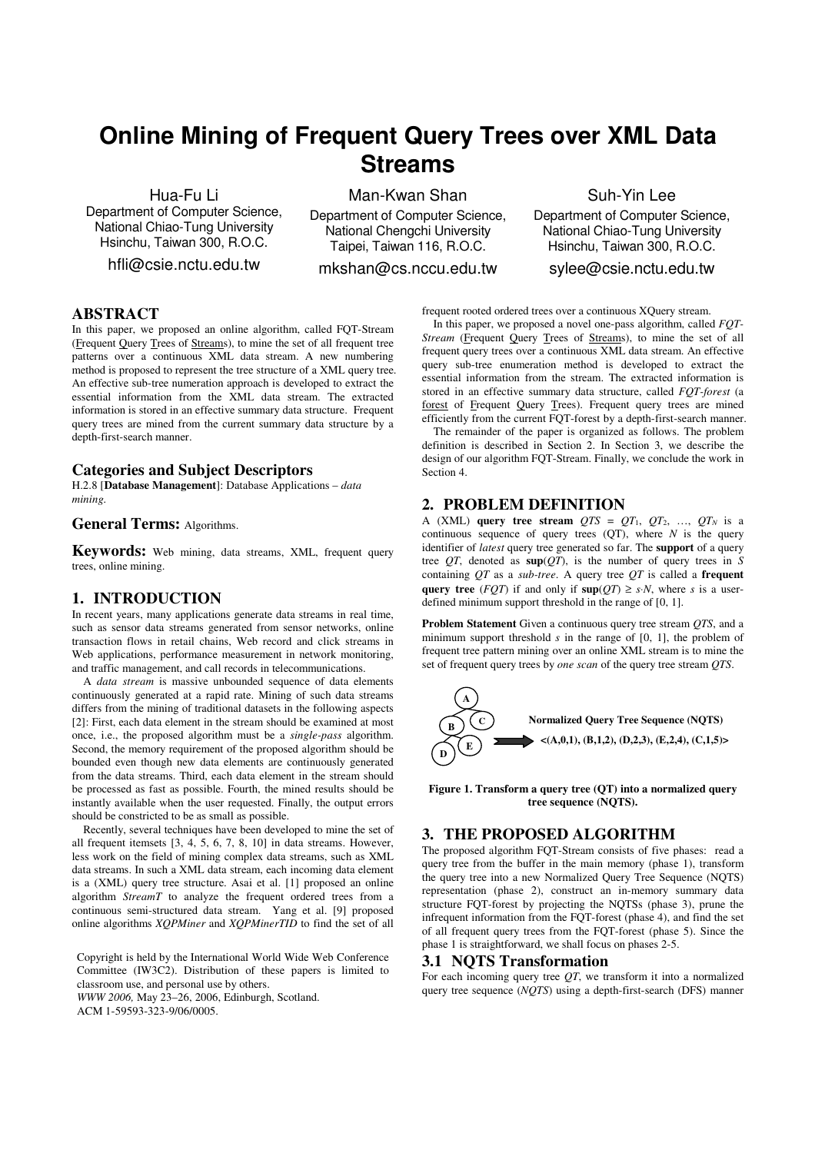# **Online Mining of Frequent Query Trees over XML Data Streams**

Hua-Fu Li

Department of Computer Science, National Chiao-Tung University Hsinchu, Taiwan 300, R.O.C.

hfli@csie.nctu.edu.tw

Man-Kwan Shan

Department of Computer Science, National Chengchi University Taipei, Taiwan 116, R.O.C.

mkshan@cs.nccu.edu.tw

Suh-Yin Lee

Department of Computer Science, National Chiao-Tung University Hsinchu, Taiwan 300, R.O.C.

sylee@csie.nctu.edu.tw

## **ABSTRACT**

In this paper, we proposed an online algorithm, called FQT-Stream (Frequent Query Trees of Streams), to mine the set of all frequent tree patterns over a continuous XML data stream. A new numbering method is proposed to represent the tree structure of a XML query tree. An effective sub-tree numeration approach is developed to extract the essential information from the XML data stream. The extracted information is stored in an effective summary data structure. Frequent query trees are mined from the current summary data structure by a depth-first-search manner.

## **Categories and Subject Descriptors**

H.2.8 [**Database Management**]: Database Applications – *data mining.* 

## **General Terms:** Algorithms.

**Keywords:** Web mining, data streams, XML, frequent query trees, online mining.

## **1. INTRODUCTION**

In recent years, many applications generate data streams in real time, such as sensor data streams generated from sensor networks, online transaction flows in retail chains, Web record and click streams in Web applications, performance measurement in network monitoring. and traffic management, and call records in telecommunications.

A *data stream* is massive unbounded sequence of data elements continuously generated at a rapid rate. Mining of such data streams differs from the mining of traditional datasets in the following aspects [2]: First, each data element in the stream should be examined at most once, i.e., the proposed algorithm must be a *single-pass* algorithm. Second, the memory requirement of the proposed algorithm should be bounded even though new data elements are continuously generated from the data streams. Third, each data element in the stream should be processed as fast as possible. Fourth, the mined results should be instantly available when the user requested. Finally, the output errors should be constricted to be as small as possible.

Recently, several techniques have been developed to mine the set of all frequent itemsets [3, 4, 5, 6, 7, 8, 10] in data streams. However, less work on the field of mining complex data streams, such as XML data streams. In such a XML data stream, each incoming data element is a (XML) query tree structure. Asai et al. [1] proposed an online algorithm *StreamT* to analyze the frequent ordered trees from a continuous semi-structured data stream. Yang et al. [9] proposed online algorithms *XQPMiner* and *XQPMinerTID* to find the set of all

Copyright is held by the International World Wide Web Conference Committee (IW3C2). Distribution of these papers is limited to classroom use, and personal use by others.

*WWW 2006,* May 23–26, 2006, Edinburgh, Scotland.

ACM 1-59593-323-9/06/0005.

In this paper, we proposed a novel one-pass algorithm, called *FOT*-*Stream* (Frequent Query Trees of Streams), to mine the set of all frequent query trees over a continuous XML data stream. An effective query sub-tree enumeration method is developed to extract the essential information from the stream. The extracted information is stored in an effective summary data structure, called *FQT-forest* (a forest of Frequent Query Trees). Frequent query trees are mined efficiently from the current FQT-forest by a depth-first-search manner.

frequent rooted ordered trees over a continuous XQuery stream.

 The remainder of the paper is organized as follows. The problem definition is described in Section 2. In Section 3, we describe the design of our algorithm FQT-Stream. Finally, we conclude the work in Section 4.

## **2. PROBLEM DEFINITION**

A (XML) **query tree stream**  $QTS = QT_1, QT_2, ..., QT_N$  is a continuous sequence of query trees  $(OT)$ , where *N* is the query identifier of *latest* query tree generated so far. The **support** of a query tree  $QT$ , denoted as  $\sup(QT)$ , is the number of query trees in *S* containing *QT* as a *sub-tree*. A query tree *QT* is called a **frequent query tree** (*FQT*) if and only if  $\sup(T) \geq s \cdot N$ , where *s* is a userdefined minimum support threshold in the range of [0, 1].

**Problem Statement** Given a continuous query tree stream *QTS*, and a minimum support threshold *s* in the range of [0, 1], the problem of frequent tree pattern mining over an online XML stream is to mine the set of frequent query trees by *one scan* of the query tree stream *QTS*.



**Figure 1. Transform a query tree (QT) into a normalized query tree sequence (NQTS).** 

## **3. THE PROPOSED ALGORITHM**

The proposed algorithm FQT-Stream consists of five phases: read a query tree from the buffer in the main memory (phase 1), transform the query tree into a new Normalized Query Tree Sequence (NQTS) representation (phase 2), construct an in-memory summary data structure FQT-forest by projecting the NQTSs (phase 3), prune the infrequent information from the FQT-forest (phase 4), and find the set of all frequent query trees from the FQT-forest (phase 5). Since the phase 1 is straightforward, we shall focus on phases 2-5.

## **3.1 NQTS Transformation**

For each incoming query tree *QT*, we transform it into a normalized query tree sequence (*NQTS*) using a depth-first-search (DFS) manner